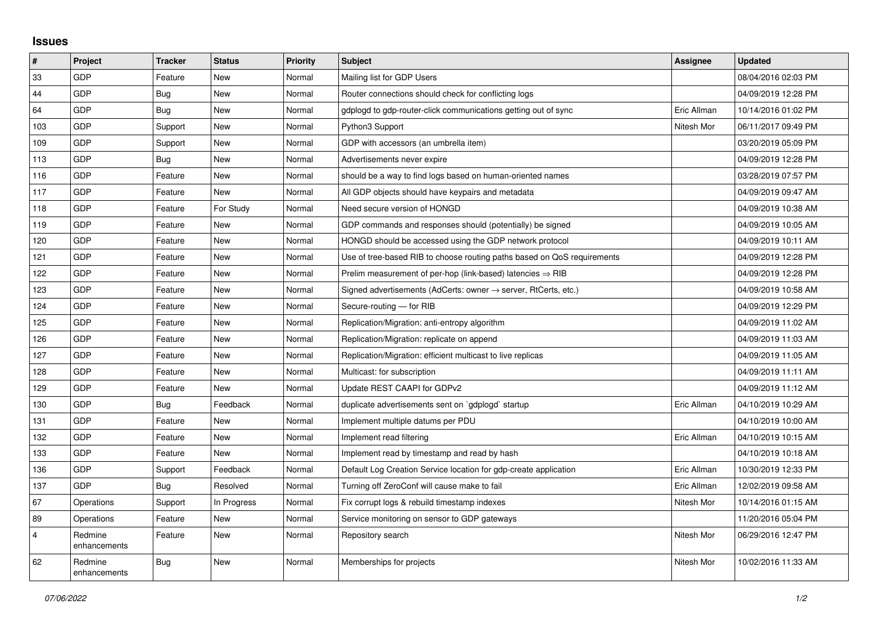## **Issues**

| #              | Project                 | <b>Tracker</b> | <b>Status</b> | <b>Priority</b> | <b>Subject</b>                                                             | <b>Assignee</b> | <b>Updated</b>      |
|----------------|-------------------------|----------------|---------------|-----------------|----------------------------------------------------------------------------|-----------------|---------------------|
| 33             | GDP                     | Feature        | <b>New</b>    | Normal          | Mailing list for GDP Users                                                 |                 | 08/04/2016 02:03 PM |
| 44             | GDP                     | <b>Bug</b>     | <b>New</b>    | Normal          | Router connections should check for conflicting logs                       |                 | 04/09/2019 12:28 PM |
| 64             | GDP                     | <b>Bug</b>     | <b>New</b>    | Normal          | gdplogd to gdp-router-click communications getting out of sync             | Eric Allman     | 10/14/2016 01:02 PM |
| 103            | GDP                     | Support        | <b>New</b>    | Normal          | Python3 Support                                                            | Nitesh Mor      | 06/11/2017 09:49 PM |
| 109            | GDP                     | Support        | <b>New</b>    | Normal          | GDP with accessors (an umbrella item)                                      |                 | 03/20/2019 05:09 PM |
| 113            | GDP                     | <b>Bug</b>     | <b>New</b>    | Normal          | Advertisements never expire                                                |                 | 04/09/2019 12:28 PM |
| 116            | GDP                     | Feature        | <b>New</b>    | Normal          | should be a way to find logs based on human-oriented names                 |                 | 03/28/2019 07:57 PM |
| 117            | GDP                     | Feature        | <b>New</b>    | Normal          | All GDP objects should have keypairs and metadata                          |                 | 04/09/2019 09:47 AM |
| 118            | GDP                     | Feature        | For Study     | Normal          | Need secure version of HONGD                                               |                 | 04/09/2019 10:38 AM |
| 119            | GDP                     | Feature        | <b>New</b>    | Normal          | GDP commands and responses should (potentially) be signed                  |                 | 04/09/2019 10:05 AM |
| 120            | GDP                     | Feature        | <b>New</b>    | Normal          | HONGD should be accessed using the GDP network protocol                    |                 | 04/09/2019 10:11 AM |
| 121            | GDP                     | Feature        | New           | Normal          | Use of tree-based RIB to choose routing paths based on QoS requirements    |                 | 04/09/2019 12:28 PM |
| 122            | GDP                     | Feature        | <b>New</b>    | Normal          | Prelim measurement of per-hop (link-based) latencies $\Rightarrow$ RIB     |                 | 04/09/2019 12:28 PM |
| 123            | GDP                     | Feature        | <b>New</b>    | Normal          | Signed advertisements (AdCerts: owner $\rightarrow$ server, RtCerts, etc.) |                 | 04/09/2019 10:58 AM |
| 124            | GDP                     | Feature        | <b>New</b>    | Normal          | Secure-routing - for RIB                                                   |                 | 04/09/2019 12:29 PM |
| 125            | GDP                     | Feature        | <b>New</b>    | Normal          | Replication/Migration: anti-entropy algorithm                              |                 | 04/09/2019 11:02 AM |
| 126            | GDP                     | Feature        | <b>New</b>    | Normal          | Replication/Migration: replicate on append                                 |                 | 04/09/2019 11:03 AM |
| 127            | GDP                     | Feature        | New           | Normal          | Replication/Migration: efficient multicast to live replicas                |                 | 04/09/2019 11:05 AM |
| 128            | GDP                     | Feature        | <b>New</b>    | Normal          | Multicast: for subscription                                                |                 | 04/09/2019 11:11 AM |
| 129            | GDP                     | Feature        | <b>New</b>    | Normal          | Update REST CAAPI for GDPv2                                                |                 | 04/09/2019 11:12 AM |
| 130            | GDP                     | <b>Bug</b>     | Feedback      | Normal          | duplicate advertisements sent on `gdplogd` startup                         | Eric Allman     | 04/10/2019 10:29 AM |
| 131            | GDP                     | Feature        | <b>New</b>    | Normal          | Implement multiple datums per PDU                                          |                 | 04/10/2019 10:00 AM |
| 132            | GDP                     | Feature        | <b>New</b>    | Normal          | Implement read filtering                                                   | Eric Allman     | 04/10/2019 10:15 AM |
| 133            | GDP                     | Feature        | New           | Normal          | Implement read by timestamp and read by hash                               |                 | 04/10/2019 10:18 AM |
| 136            | GDP                     | Support        | Feedback      | Normal          | Default Log Creation Service location for gdp-create application           | Eric Allman     | 10/30/2019 12:33 PM |
| 137            | GDP                     | <b>Bug</b>     | Resolved      | Normal          | Turning off ZeroConf will cause make to fail                               | Eric Allman     | 12/02/2019 09:58 AM |
| 67             | Operations              | Support        | In Progress   | Normal          | Fix corrupt logs & rebuild timestamp indexes                               | Nitesh Mor      | 10/14/2016 01:15 AM |
| 89             | Operations              | Feature        | <b>New</b>    | Normal          | Service monitoring on sensor to GDP gateways                               |                 | 11/20/2016 05:04 PM |
| $\overline{4}$ | Redmine<br>enhancements | Feature        | <b>New</b>    | Normal          | Repository search                                                          | Nitesh Mor      | 06/29/2016 12:47 PM |
| 62             | Redmine<br>enhancements | <b>Bug</b>     | <b>New</b>    | Normal          | Memberships for projects                                                   | Nitesh Mor      | 10/02/2016 11:33 AM |